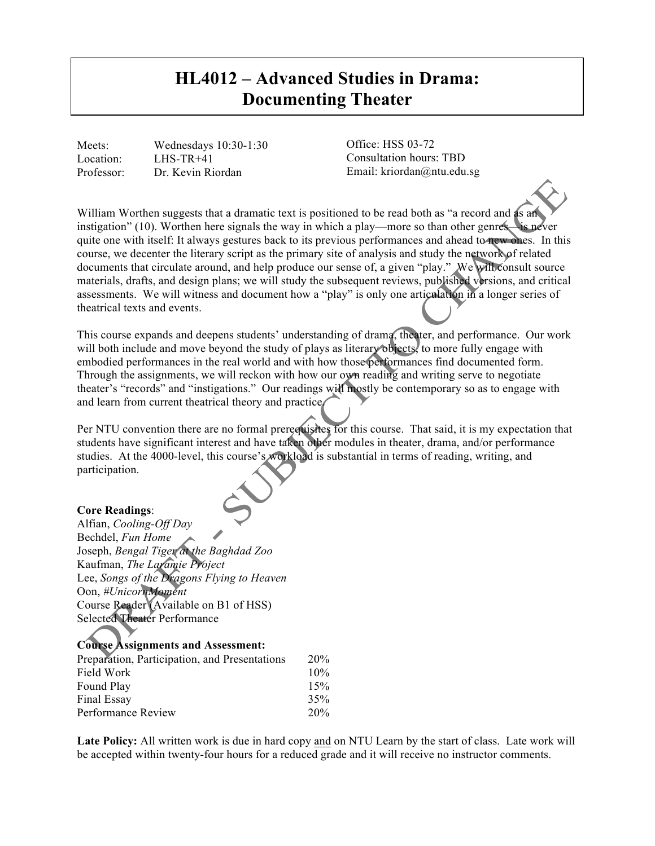# **HL4012 – Advanced Studies in Drama: Documenting Theater**

Meets: Wednesdays 10:30-1:30 Location: LHS-TR+41 Professor: Dr. Kevin Riordan

Office: HSS 03-72 Consultation hours: TBD Email: kriordan@ntu.edu.sg

William Worthen suggests that a dramatic text is positioned to be read both as "a record and as an instigation" (10). Worthen here signals the way in which a play—more so than other genres—is never quite one with itself: It always gestures back to its previous performances and ahead to new ones. In this course, we decenter the literary script as the primary site of analysis and study the network of related documents that circulate around, and help produce our sense of, a given "play." We will consult source materials, drafts, and design plans; we will study the subsequent reviews, published versions, and critical assessments. We will witness and document how a "play" is only one articulation in a longer series of theatrical texts and events.

This course expands and deepens students' understanding of drama, theater, and performance. Our work will both include and move beyond the study of plays as literary objects, to more fully engage with embodied performances in the real world and with how those performances find documented form. Through the assignments, we will reckon with how our own reading and writing serve to negotiate theater's "records" and "instigations." Our readings will mostly be contemporary so as to engage with and learn from current theatrical theory and practice/

Per NTU convention there are no formal prerequisites for this course. That said, it is my expectation that students have significant interest and have taken other modules in theater, drama, and/or performance studies. At the 4000-level, this course's workload is substantial in terms of reading, writing, and participation.

# **Core Readings**:

Alfian, *Cooling-Off Day* Bechdel, *Fun Home* Joseph, *Bengal Tiger at the Baghdad Zoo* Kaufman, *The Laramie Project* Lee, *Songs of the Dragons Flying to Heaven* Oon, *#UnicornMoment* Course Reader (Available on B1 of HSS) Selected Theater Performance

# **Course Assignments and Assessment:**

| Preparation, Participation, and Presentations | 20% |
|-----------------------------------------------|-----|
| Field Work<br>Found Play<br>Final Essay       | 10% |
|                                               | 15% |
|                                               | 35% |
| Performance Review                            | 20% |

**Late Policy:** All written work is due in hard copy and on NTU Learn by the start of class. Late work will be accepted within twenty-four hours for a reduced grade and it will receive no instructor comments.